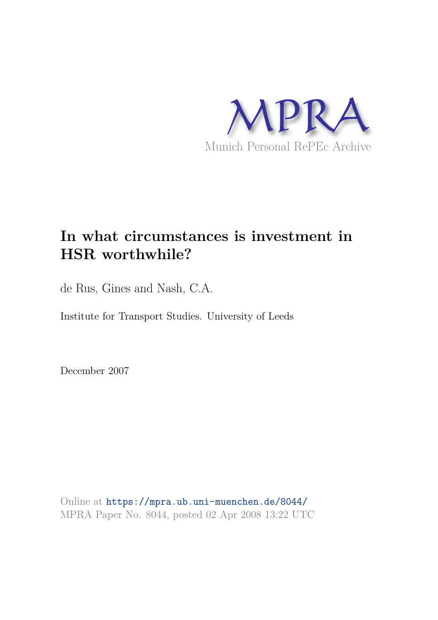

# **In what circumstances is investment in HSR worthwhile?**

de Rus, Gines and Nash, C.A.

Institute for Transport Studies. University of Leeds

December 2007

Online at https://mpra.ub.uni-muenchen.de/8044/ MPRA Paper No. 8044, posted 02 Apr 2008 13:22 UTC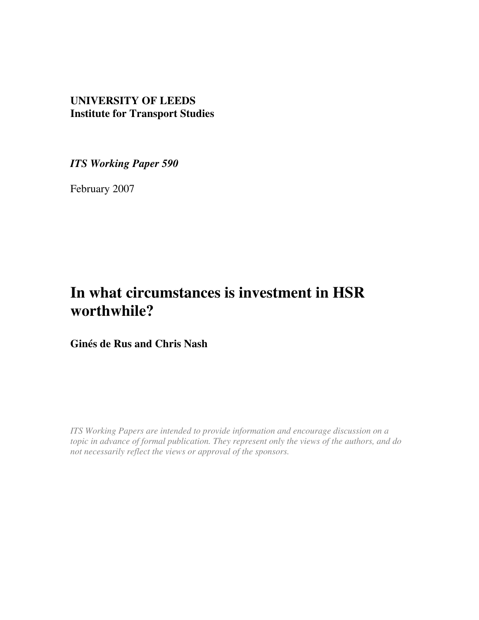# **UNIVERSITY OF LEEDS Institute for Transport Studies**

*ITS Working Paper 590* 

February 2007

# **In what circumstances is investment in HSR worthwhile?**

**Ginés de Rus and Chris Nash** 

*ITS Working Papers are intended to provide information and encourage discussion on a topic in advance of formal publication. They represent only the views of the authors, and do not necessarily reflect the views or approval of the sponsors.*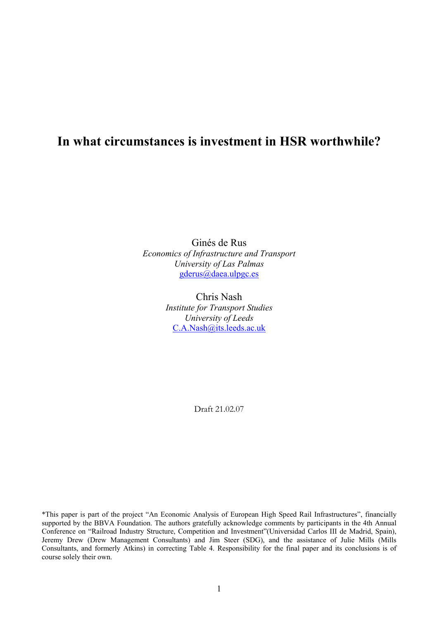# **In what circumstances is investment in HSR worthwhile?**

Ginés de Rus *Economics of Infrastructure and Transport University of Las Palmas*  gderus@daea.ulpgc.es

> Chris Nash *Institute for Transport Studies University of Leeds*  C.A.Nash@its.leeds.ac.uk

> > Draft 21.02.07

\*This paper is part of the project "An Economic Analysis of European High Speed Rail Infrastructures", financially supported by the BBVA Foundation. The authors gratefully acknowledge comments by participants in the 4th Annual Conference on "Railroad Industry Structure, Competition and Investment"(Universidad Carlos III de Madrid, Spain), Jeremy Drew (Drew Management Consultants) and Jim Steer (SDG), and the assistance of Julie Mills (Mills Consultants, and formerly Atkins) in correcting Table 4. Responsibility for the final paper and its conclusions is of course solely their own.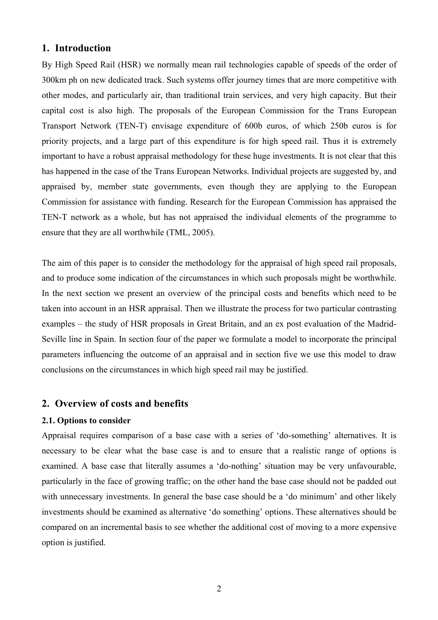# **1. Introduction**

By High Speed Rail (HSR) we normally mean rail technologies capable of speeds of the order of 300km ph on new dedicated track. Such systems offer journey times that are more competitive with other modes, and particularly air, than traditional train services, and very high capacity. But their capital cost is also high. The proposals of the European Commission for the Trans European Transport Network (TEN-T) envisage expenditure of 600b euros, of which 250b euros is for priority projects, and a large part of this expenditure is for high speed rail. Thus it is extremely important to have a robust appraisal methodology for these huge investments. It is not clear that this has happened in the case of the Trans European Networks. Individual projects are suggested by, and appraised by, member state governments, even though they are applying to the European Commission for assistance with funding. Research for the European Commission has appraised the TEN-T network as a whole, but has not appraised the individual elements of the programme to ensure that they are all worthwhile (TML, 2005).

The aim of this paper is to consider the methodology for the appraisal of high speed rail proposals, and to produce some indication of the circumstances in which such proposals might be worthwhile. In the next section we present an overview of the principal costs and benefits which need to be taken into account in an HSR appraisal. Then we illustrate the process for two particular contrasting examples – the study of HSR proposals in Great Britain, and an ex post evaluation of the Madrid-Seville line in Spain. In section four of the paper we formulate a model to incorporate the principal parameters influencing the outcome of an appraisal and in section five we use this model to draw conclusions on the circumstances in which high speed rail may be justified.

# **2. Overview of costs and benefits**

# **2.1. Options to consider**

Appraisal requires comparison of a base case with a series of 'do-something' alternatives. It is necessary to be clear what the base case is and to ensure that a realistic range of options is examined. A base case that literally assumes a 'do-nothing' situation may be very unfavourable, particularly in the face of growing traffic; on the other hand the base case should not be padded out with unnecessary investments. In general the base case should be a 'do minimum' and other likely investments should be examined as alternative 'do something' options. These alternatives should be compared on an incremental basis to see whether the additional cost of moving to a more expensive option is justified.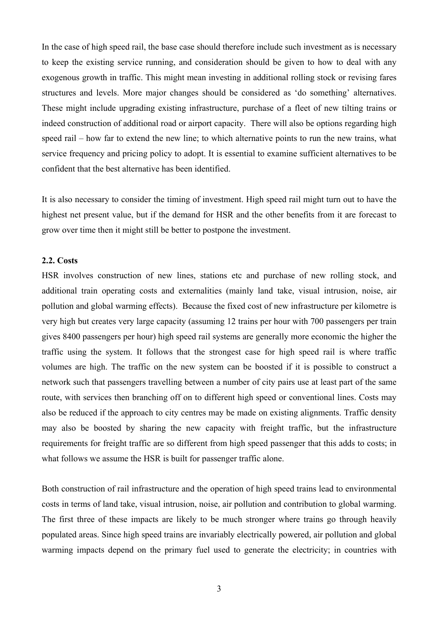In the case of high speed rail, the base case should therefore include such investment as is necessary to keep the existing service running, and consideration should be given to how to deal with any exogenous growth in traffic. This might mean investing in additional rolling stock or revising fares structures and levels. More major changes should be considered as 'do something' alternatives. These might include upgrading existing infrastructure, purchase of a fleet of new tilting trains or indeed construction of additional road or airport capacity. There will also be options regarding high speed rail – how far to extend the new line; to which alternative points to run the new trains, what service frequency and pricing policy to adopt. It is essential to examine sufficient alternatives to be confident that the best alternative has been identified.

It is also necessary to consider the timing of investment. High speed rail might turn out to have the highest net present value, but if the demand for HSR and the other benefits from it are forecast to grow over time then it might still be better to postpone the investment.

#### **2.2. Costs**

HSR involves construction of new lines, stations etc and purchase of new rolling stock, and additional train operating costs and externalities (mainly land take, visual intrusion, noise, air pollution and global warming effects). Because the fixed cost of new infrastructure per kilometre is very high but creates very large capacity (assuming 12 trains per hour with 700 passengers per train gives 8400 passengers per hour) high speed rail systems are generally more economic the higher the traffic using the system. It follows that the strongest case for high speed rail is where traffic volumes are high. The traffic on the new system can be boosted if it is possible to construct a network such that passengers travelling between a number of city pairs use at least part of the same route, with services then branching off on to different high speed or conventional lines. Costs may also be reduced if the approach to city centres may be made on existing alignments. Traffic density may also be boosted by sharing the new capacity with freight traffic, but the infrastructure requirements for freight traffic are so different from high speed passenger that this adds to costs; in what follows we assume the HSR is built for passenger traffic alone.

Both construction of rail infrastructure and the operation of high speed trains lead to environmental costs in terms of land take, visual intrusion, noise, air pollution and contribution to global warming. The first three of these impacts are likely to be much stronger where trains go through heavily populated areas. Since high speed trains are invariably electrically powered, air pollution and global warming impacts depend on the primary fuel used to generate the electricity; in countries with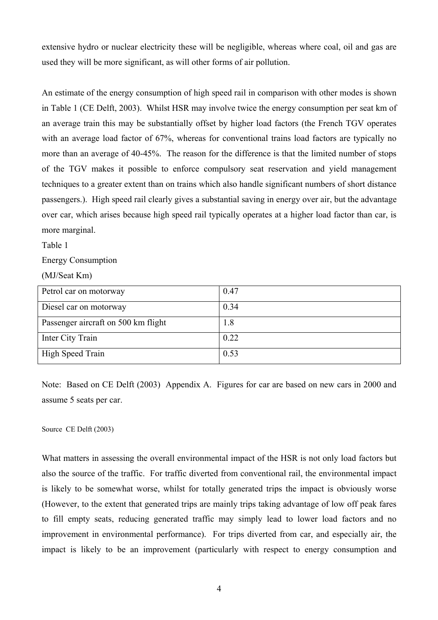extensive hydro or nuclear electricity these will be negligible, whereas where coal, oil and gas are used they will be more significant, as will other forms of air pollution.

An estimate of the energy consumption of high speed rail in comparison with other modes is shown in Table 1 (CE Delft, 2003). Whilst HSR may involve twice the energy consumption per seat km of an average train this may be substantially offset by higher load factors (the French TGV operates with an average load factor of 67%, whereas for conventional trains load factors are typically no more than an average of 40-45%. The reason for the difference is that the limited number of stops of the TGV makes it possible to enforce compulsory seat reservation and yield management techniques to a greater extent than on trains which also handle significant numbers of short distance passengers.). High speed rail clearly gives a substantial saving in energy over air, but the advantage over car, which arises because high speed rail typically operates at a higher load factor than car, is more marginal.

Table 1

Energy Consumption

(MJ/Seat Km)

| Petrol car on motorway              | 0.47 |
|-------------------------------------|------|
| Diesel car on motorway              | 0.34 |
| Passenger aircraft on 500 km flight | 1.8  |
| Inter City Train                    | 0.22 |
| High Speed Train                    | 0.53 |

Note: Based on CE Delft (2003) Appendix A. Figures for car are based on new cars in 2000 and assume 5 seats per car.

#### Source CE Delft (2003)

What matters in assessing the overall environmental impact of the HSR is not only load factors but also the source of the traffic. For traffic diverted from conventional rail, the environmental impact is likely to be somewhat worse, whilst for totally generated trips the impact is obviously worse (However, to the extent that generated trips are mainly trips taking advantage of low off peak fares to fill empty seats, reducing generated traffic may simply lead to lower load factors and no improvement in environmental performance). For trips diverted from car, and especially air, the impact is likely to be an improvement (particularly with respect to energy consumption and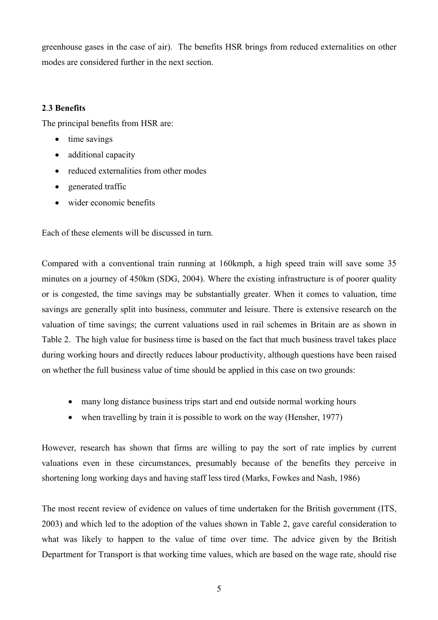greenhouse gases in the case of air). The benefits HSR brings from reduced externalities on other modes are considered further in the next section.

# **2**.**3 Benefits**

The principal benefits from HSR are:

- time savings
- additional capacity
- reduced externalities from other modes
- generated traffic
- wider economic benefits

Each of these elements will be discussed in turn.

Compared with a conventional train running at 160kmph, a high speed train will save some 35 minutes on a journey of 450km (SDG, 2004). Where the existing infrastructure is of poorer quality or is congested, the time savings may be substantially greater. When it comes to valuation, time savings are generally split into business, commuter and leisure. There is extensive research on the valuation of time savings; the current valuations used in rail schemes in Britain are as shown in Table 2. The high value for business time is based on the fact that much business travel takes place during working hours and directly reduces labour productivity, although questions have been raised on whether the full business value of time should be applied in this case on two grounds:

- many long distance business trips start and end outside normal working hours
- when travelling by train it is possible to work on the way (Hensher, 1977)

However, research has shown that firms are willing to pay the sort of rate implies by current valuations even in these circumstances, presumably because of the benefits they perceive in shortening long working days and having staff less tired (Marks, Fowkes and Nash, 1986)

The most recent review of evidence on values of time undertaken for the British government (ITS, 2003) and which led to the adoption of the values shown in Table 2, gave careful consideration to what was likely to happen to the value of time over time. The advice given by the British Department for Transport is that working time values, which are based on the wage rate, should rise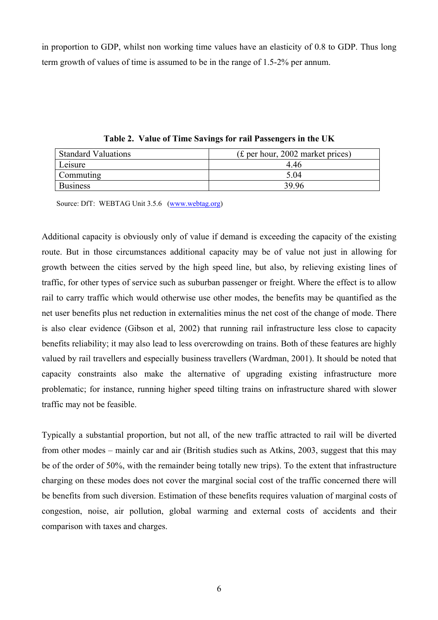in proportion to GDP, whilst non working time values have an elasticity of 0.8 to GDP. Thus long term growth of values of time is assumed to be in the range of 1.5-2% per annum.

| <b>Standard Valuations</b> | $(f)$ per hour, 2002 market prices) |
|----------------------------|-------------------------------------|
| Leisure                    | 446                                 |
| <b>Commuting</b>           | 5.04                                |
| <b>Business</b>            | 39.96                               |

**Table 2. Value of Time Savings for rail Passengers in the UK** 

Source: DfT: WEBTAG Unit 3.5.6 (www.webtag.org)

Additional capacity is obviously only of value if demand is exceeding the capacity of the existing route. But in those circumstances additional capacity may be of value not just in allowing for growth between the cities served by the high speed line, but also, by relieving existing lines of traffic, for other types of service such as suburban passenger or freight. Where the effect is to allow rail to carry traffic which would otherwise use other modes, the benefits may be quantified as the net user benefits plus net reduction in externalities minus the net cost of the change of mode. There is also clear evidence (Gibson et al, 2002) that running rail infrastructure less close to capacity benefits reliability; it may also lead to less overcrowding on trains. Both of these features are highly valued by rail travellers and especially business travellers (Wardman, 2001). It should be noted that capacity constraints also make the alternative of upgrading existing infrastructure more problematic; for instance, running higher speed tilting trains on infrastructure shared with slower traffic may not be feasible.

Typically a substantial proportion, but not all, of the new traffic attracted to rail will be diverted from other modes – mainly car and air (British studies such as Atkins, 2003, suggest that this may be of the order of 50%, with the remainder being totally new trips). To the extent that infrastructure charging on these modes does not cover the marginal social cost of the traffic concerned there will be benefits from such diversion. Estimation of these benefits requires valuation of marginal costs of congestion, noise, air pollution, global warming and external costs of accidents and their comparison with taxes and charges.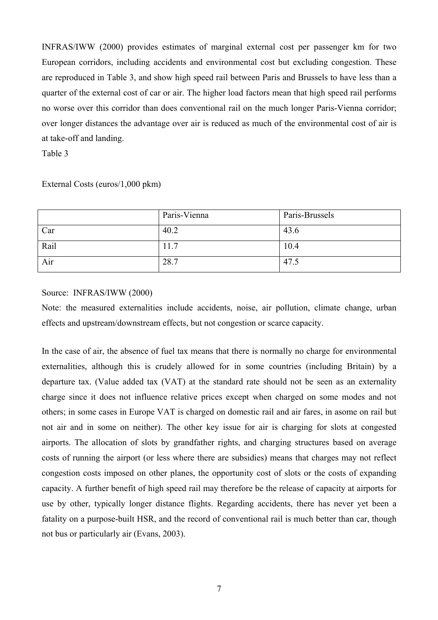INFRAS/IWW (2000) provides estimates of marginal external cost per passenger km for two European corridors, including accidents and environmental cost but excluding congestion. These are reproduced in Table 3, and show high speed rail between Paris and Brussels to have less than a quarter of the external cost of car or air. The higher load factors mean that high speed rail performs no worse over this corridor than does conventional rail on the much longer Paris-Vienna corridor; over longer distances the advantage over air is reduced as much of the environmental cost of air is at take-off and landing.

Table 3

# External Costs (euros/1,000 pkm)

|      | Paris-Vienna | Paris-Brussels |
|------|--------------|----------------|
| Car  | 40.2         | 43.6           |
| Rail | 11.7         | 10.4           |
| Air  | 28.7         | 47.5           |

# Source: INFRAS/IWW (2000)

Note: the measured externalities include accidents, noise, air pollution, climate change, urban effects and upstream/downstream effects, but not congestion or scarce capacity.

In the case of air, the absence of fuel tax means that there is normally no charge for environmental externalities, although this is crudely allowed for in some countries (including Britain) by a departure tax. (Value added tax (VAT) at the standard rate should not be seen as an externality charge since it does not influence relative prices except when charged on some modes and not others; in some cases in Europe VAT is charged on domestic rail and air fares, in asome on rail but not air and in some on neither). The other key issue for air is charging for slots at congested airports. The allocation of slots by grandfather rights, and charging structures based on average costs of running the airport (or less where there are subsidies) means that charges may not reflect congestion costs imposed on other planes, the opportunity cost of slots or the costs of expanding capacity. A further benefit of high speed rail may therefore be the release of capacity at airports for use by other, typically longer distance flights. Regarding accidents, there has never yet been a fatality on a purpose-built HSR, and the record of conventional rail is much better than car, though not bus or particularly air (Evans, 2003).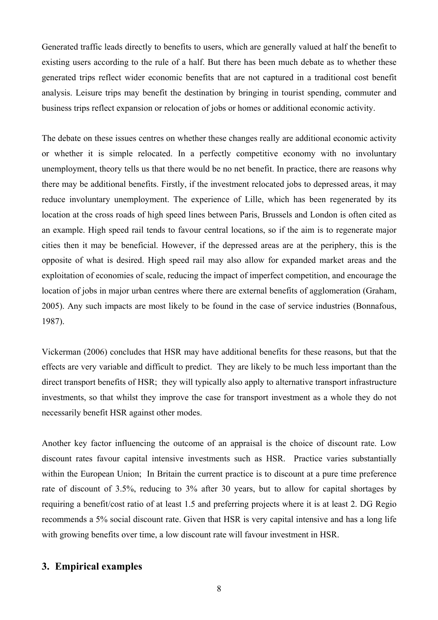Generated traffic leads directly to benefits to users, which are generally valued at half the benefit to existing users according to the rule of a half. But there has been much debate as to whether these generated trips reflect wider economic benefits that are not captured in a traditional cost benefit analysis. Leisure trips may benefit the destination by bringing in tourist spending, commuter and business trips reflect expansion or relocation of jobs or homes or additional economic activity.

The debate on these issues centres on whether these changes really are additional economic activity or whether it is simple relocated. In a perfectly competitive economy with no involuntary unemployment, theory tells us that there would be no net benefit. In practice, there are reasons why there may be additional benefits. Firstly, if the investment relocated jobs to depressed areas, it may reduce involuntary unemployment. The experience of Lille, which has been regenerated by its location at the cross roads of high speed lines between Paris, Brussels and London is often cited as an example. High speed rail tends to favour central locations, so if the aim is to regenerate major cities then it may be beneficial. However, if the depressed areas are at the periphery, this is the opposite of what is desired. High speed rail may also allow for expanded market areas and the exploitation of economies of scale, reducing the impact of imperfect competition, and encourage the location of jobs in major urban centres where there are external benefits of agglomeration (Graham, 2005). Any such impacts are most likely to be found in the case of service industries (Bonnafous, 1987).

Vickerman (2006) concludes that HSR may have additional benefits for these reasons, but that the effects are very variable and difficult to predict. They are likely to be much less important than the direct transport benefits of HSR; they will typically also apply to alternative transport infrastructure investments, so that whilst they improve the case for transport investment as a whole they do not necessarily benefit HSR against other modes.

Another key factor influencing the outcome of an appraisal is the choice of discount rate. Low discount rates favour capital intensive investments such as HSR. Practice varies substantially within the European Union; In Britain the current practice is to discount at a pure time preference rate of discount of 3.5%, reducing to 3% after 30 years, but to allow for capital shortages by requiring a benefit/cost ratio of at least 1.5 and preferring projects where it is at least 2. DG Regio recommends a 5% social discount rate. Given that HSR is very capital intensive and has a long life with growing benefits over time, a low discount rate will favour investment in HSR.

# **3. Empirical examples**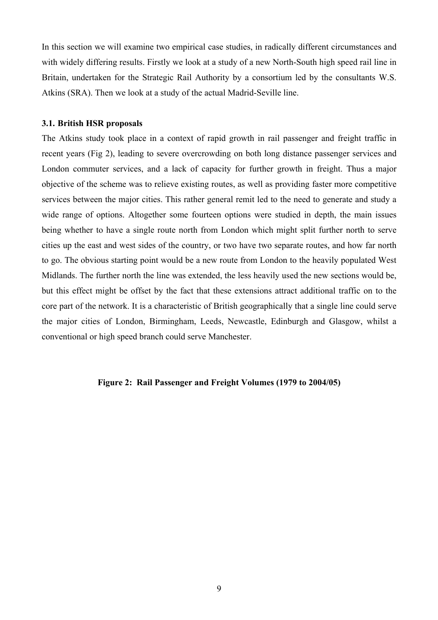In this section we will examine two empirical case studies, in radically different circumstances and with widely differing results. Firstly we look at a study of a new North-South high speed rail line in Britain, undertaken for the Strategic Rail Authority by a consortium led by the consultants W.S. Atkins (SRA). Then we look at a study of the actual Madrid-Seville line.

#### **3.1. British HSR proposals**

The Atkins study took place in a context of rapid growth in rail passenger and freight traffic in recent years (Fig 2), leading to severe overcrowding on both long distance passenger services and London commuter services, and a lack of capacity for further growth in freight. Thus a major objective of the scheme was to relieve existing routes, as well as providing faster more competitive services between the major cities. This rather general remit led to the need to generate and study a wide range of options. Altogether some fourteen options were studied in depth, the main issues being whether to have a single route north from London which might split further north to serve cities up the east and west sides of the country, or two have two separate routes, and how far north to go. The obvious starting point would be a new route from London to the heavily populated West Midlands. The further north the line was extended, the less heavily used the new sections would be, but this effect might be offset by the fact that these extensions attract additional traffic on to the core part of the network. It is a characteristic of British geographically that a single line could serve the major cities of London, Birmingham, Leeds, Newcastle, Edinburgh and Glasgow, whilst a conventional or high speed branch could serve Manchester.

#### **Figure 2: Rail Passenger and Freight Volumes (1979 to 2004/05)**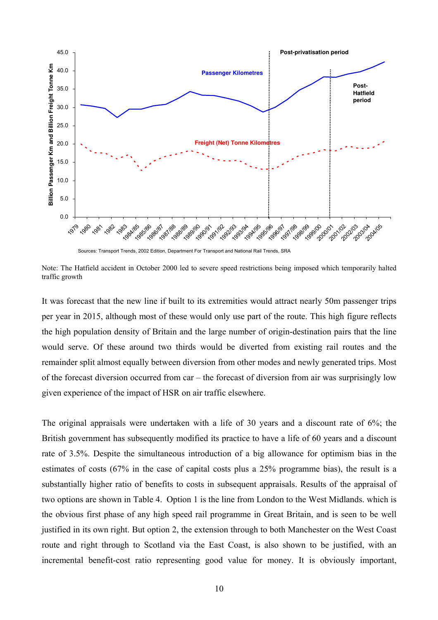

Sources: Transport Trends, 2002 Edition, Department For Transport and National Rail Trends, SRA

Note: The Hatfield accident in October 2000 led to severe speed restrictions being imposed which temporarily halted traffic growth

It was forecast that the new line if built to its extremities would attract nearly 50m passenger trips per year in 2015, although most of these would only use part of the route. This high figure reflects the high population density of Britain and the large number of origin-destination pairs that the line would serve. Of these around two thirds would be diverted from existing rail routes and the remainder split almost equally between diversion from other modes and newly generated trips. Most of the forecast diversion occurred from car – the forecast of diversion from air was surprisingly low given experience of the impact of HSR on air traffic elsewhere.

The original appraisals were undertaken with a life of 30 years and a discount rate of 6%; the British government has subsequently modified its practice to have a life of 60 years and a discount rate of 3.5%. Despite the simultaneous introduction of a big allowance for optimism bias in the estimates of costs (67% in the case of capital costs plus a 25% programme bias), the result is a substantially higher ratio of benefits to costs in subsequent appraisals. Results of the appraisal of two options are shown in Table 4. Option 1 is the line from London to the West Midlands. which is the obvious first phase of any high speed rail programme in Great Britain, and is seen to be well justified in its own right. But option 2, the extension through to both Manchester on the West Coast route and right through to Scotland via the East Coast, is also shown to be justified, with an incremental benefit-cost ratio representing good value for money. It is obviously important,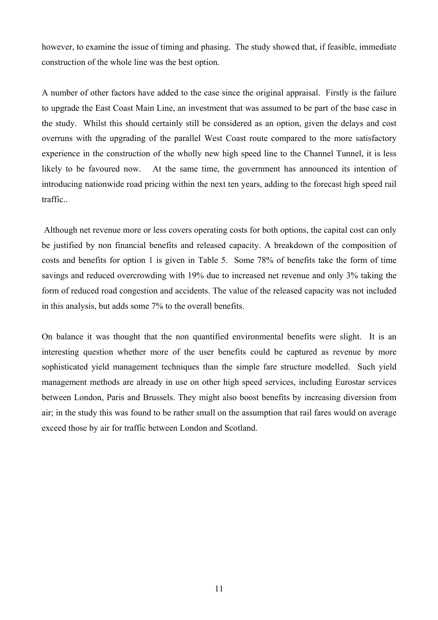however, to examine the issue of timing and phasing. The study showed that, if feasible, immediate construction of the whole line was the best option.

A number of other factors have added to the case since the original appraisal. Firstly is the failure to upgrade the East Coast Main Line, an investment that was assumed to be part of the base case in the study. Whilst this should certainly still be considered as an option, given the delays and cost overruns with the upgrading of the parallel West Coast route compared to the more satisfactory experience in the construction of the wholly new high speed line to the Channel Tunnel, it is less likely to be favoured now. At the same time, the government has announced its intention of introducing nationwide road pricing within the next ten years, adding to the forecast high speed rail traffic..

 Although net revenue more or less covers operating costs for both options, the capital cost can only be justified by non financial benefits and released capacity. A breakdown of the composition of costs and benefits for option 1 is given in Table 5. Some 78% of benefits take the form of time savings and reduced overcrowding with 19% due to increased net revenue and only 3% taking the form of reduced road congestion and accidents. The value of the released capacity was not included in this analysis, but adds some 7% to the overall benefits.

On balance it was thought that the non quantified environmental benefits were slight. It is an interesting question whether more of the user benefits could be captured as revenue by more sophisticated yield management techniques than the simple fare structure modelled. Such yield management methods are already in use on other high speed services, including Eurostar services between London, Paris and Brussels. They might also boost benefits by increasing diversion from air; in the study this was found to be rather small on the assumption that rail fares would on average exceed those by air for traffic between London and Scotland.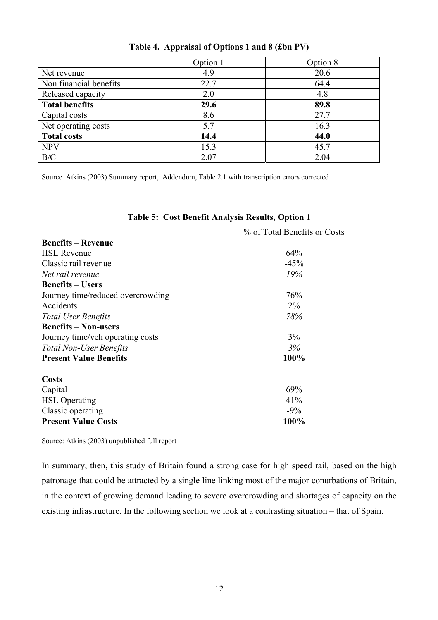|                        | Option 1 | Option 8 |
|------------------------|----------|----------|
| Net revenue            | 4.9      | 20.6     |
| Non financial benefits | 22.7     | 64.4     |
| Released capacity      | 2.0      | 4.8      |
| <b>Total benefits</b>  | 29.6     | 89.8     |
| Capital costs          | 8.6      | 27.7     |
| Net operating costs    | 5.7      | 16.3     |
| <b>Total costs</b>     | 14.4     | 44.0     |
| <b>NPV</b>             | 15.3     | 45.7     |
| B/C                    | 2.07     | 2.04     |

|  |  | Table 4. Appraisal of Options 1 and 8 (£bn PV) |  |  |
|--|--|------------------------------------------------|--|--|
|--|--|------------------------------------------------|--|--|

Source Atkins (2003) Summary report, Addendum, Table 2.1 with transcription errors corrected

# **Table 5: Cost Benefit Analysis Results, Option 1**

|                                   | % of Total Benefits or Costs |
|-----------------------------------|------------------------------|
| <b>Benefits – Revenue</b>         |                              |
| <b>HSL Revenue</b>                | 64%                          |
| Classic rail revenue              | $-45%$                       |
| Net rail revenue                  | 19%                          |
| <b>Benefits – Users</b>           |                              |
| Journey time/reduced overcrowding | 76%                          |
| Accidents                         | $2\%$                        |
| <b>Total User Benefits</b>        | 78%                          |
| <b>Benefits – Non-users</b>       |                              |
| Journey time/veh operating costs  | 3%                           |
| <b>Total Non-User Benefits</b>    | 3%                           |
| <b>Present Value Benefits</b>     | 100%                         |
| <b>Costs</b>                      |                              |
| Capital                           | 69%                          |
| <b>HSL</b> Operating              | 41%                          |
| Classic operating                 | $-9\%$                       |
| <b>Present Value Costs</b>        | 100%                         |

Source: Atkins (2003) unpublished full report

In summary, then, this study of Britain found a strong case for high speed rail, based on the high patronage that could be attracted by a single line linking most of the major conurbations of Britain, in the context of growing demand leading to severe overcrowding and shortages of capacity on the existing infrastructure. In the following section we look at a contrasting situation – that of Spain.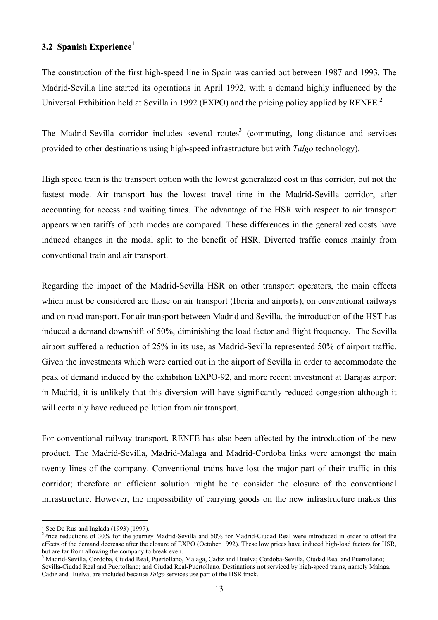# **3.2 Spanish Experience**<sup>1</sup>

The construction of the first high-speed line in Spain was carried out between 1987 and 1993. The Madrid-Sevilla line started its operations in April 1992, with a demand highly influenced by the Universal Exhibition held at Sevilla in 1992 (EXPO) and the pricing policy applied by RENFE.<sup>2</sup>

The Madrid-Sevilla corridor includes several routes<sup>3</sup> (commuting, long-distance and services provided to other destinations using high-speed infrastructure but with *Talgo* technology).

High speed train is the transport option with the lowest generalized cost in this corridor, but not the fastest mode. Air transport has the lowest travel time in the Madrid-Sevilla corridor, after accounting for access and waiting times. The advantage of the HSR with respect to air transport appears when tariffs of both modes are compared. These differences in the generalized costs have induced changes in the modal split to the benefit of HSR. Diverted traffic comes mainly from conventional train and air transport.

Regarding the impact of the Madrid-Sevilla HSR on other transport operators, the main effects which must be considered are those on air transport (Iberia and airports), on conventional railways and on road transport. For air transport between Madrid and Sevilla, the introduction of the HST has induced a demand downshift of 50%, diminishing the load factor and flight frequency. The Sevilla airport suffered a reduction of 25% in its use, as Madrid-Sevilla represented 50% of airport traffic. Given the investments which were carried out in the airport of Sevilla in order to accommodate the peak of demand induced by the exhibition EXPO-92, and more recent investment at Barajas airport in Madrid, it is unlikely that this diversion will have significantly reduced congestion although it will certainly have reduced pollution from air transport.

For conventional railway transport, RENFE has also been affected by the introduction of the new product. The Madrid-Sevilla, Madrid-Malaga and Madrid-Cordoba links were amongst the main twenty lines of the company. Conventional trains have lost the major part of their traffic in this corridor; therefore an efficient solution might be to consider the closure of the conventional infrastructure. However, the impossibility of carrying goods on the new infrastructure makes this

<sup>&</sup>lt;sup>1</sup> See De Rus and Inglada (1993) (1997).

<sup>&</sup>lt;sup>2</sup>Price reductions of 30% for the journey Madrid-Sevilla and 50% for Madrid-Ciudad Real were introduced in order to offset the effects of the demand decrease after the closure of EXPO (October 1992). These low prices have induced high-load factors for HSR, but are far from allowing the company to break even.

<sup>3</sup> Madrid-Sevilla, Cordoba, Ciudad Real, Puertollano, Malaga, Cadiz and Huelva; Cordoba-Sevilla, Ciudad Real and Puertollano; Sevilla-Ciudad Real and Puertollano; and Ciudad Real-Puertollano. Destinations not serviced by high-speed trains, namely Malaga, Cadiz and Huelva, are included because *Talgo* services use part of the HSR track.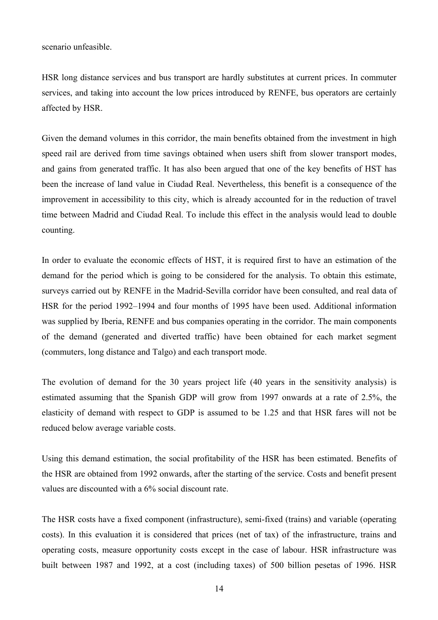scenario unfeasible.

HSR long distance services and bus transport are hardly substitutes at current prices. In commuter services, and taking into account the low prices introduced by RENFE, bus operators are certainly affected by HSR.

Given the demand volumes in this corridor, the main benefits obtained from the investment in high speed rail are derived from time savings obtained when users shift from slower transport modes, and gains from generated traffic. It has also been argued that one of the key benefits of HST has been the increase of land value in Ciudad Real. Nevertheless, this benefit is a consequence of the improvement in accessibility to this city, which is already accounted for in the reduction of travel time between Madrid and Ciudad Real. To include this effect in the analysis would lead to double counting.

In order to evaluate the economic effects of HST, it is required first to have an estimation of the demand for the period which is going to be considered for the analysis. To obtain this estimate, surveys carried out by RENFE in the Madrid-Sevilla corridor have been consulted, and real data of HSR for the period 1992–1994 and four months of 1995 have been used. Additional information was supplied by Iberia, RENFE and bus companies operating in the corridor. The main components of the demand (generated and diverted traffic) have been obtained for each market segment (commuters, long distance and Talgo) and each transport mode.

The evolution of demand for the 30 years project life (40 years in the sensitivity analysis) is estimated assuming that the Spanish GDP will grow from 1997 onwards at a rate of 2.5%, the elasticity of demand with respect to GDP is assumed to be 1.25 and that HSR fares will not be reduced below average variable costs.

Using this demand estimation, the social profitability of the HSR has been estimated. Benefits of the HSR are obtained from 1992 onwards, after the starting of the service. Costs and benefit present values are discounted with a 6% social discount rate.

The HSR costs have a fixed component (infrastructure), semi-fixed (trains) and variable (operating costs). In this evaluation it is considered that prices (net of tax) of the infrastructure, trains and operating costs, measure opportunity costs except in the case of labour. HSR infrastructure was built between 1987 and 1992, at a cost (including taxes) of 500 billion pesetas of 1996. HSR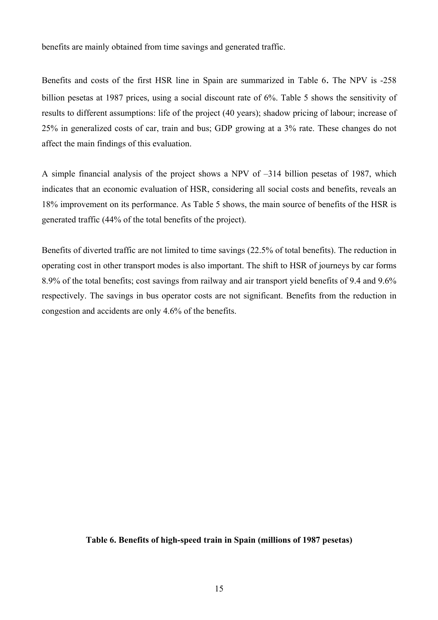benefits are mainly obtained from time savings and generated traffic.

Benefits and costs of the first HSR line in Spain are summarized in Table 6. The NPV is -258 billion pesetas at 1987 prices, using a social discount rate of 6%. Table 5 shows the sensitivity of results to different assumptions: life of the project (40 years); shadow pricing of labour; increase of 25% in generalized costs of car, train and bus; GDP growing at a 3% rate. These changes do not affect the main findings of this evaluation.

A simple financial analysis of the project shows a NPV of –314 billion pesetas of 1987, which indicates that an economic evaluation of HSR, considering all social costs and benefits, reveals an 18% improvement on its performance. As Table 5 shows, the main source of benefits of the HSR is generated traffic (44% of the total benefits of the project).

Benefits of diverted traffic are not limited to time savings (22.5% of total benefits). The reduction in operating cost in other transport modes is also important. The shift to HSR of journeys by car forms 8.9% of the total benefits; cost savings from railway and air transport yield benefits of 9.4 and 9.6% respectively. The savings in bus operator costs are not significant. Benefits from the reduction in congestion and accidents are only 4.6% of the benefits.

#### **Table 6. Benefits of high-speed train in Spain (millions of 1987 pesetas)**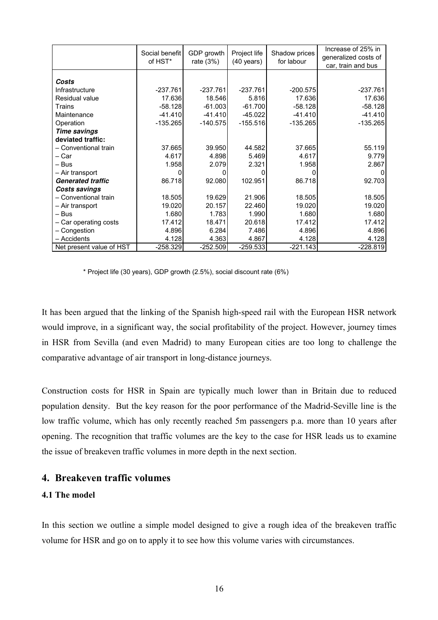|                          | Social benefit<br>of HST* | GDP growth<br>rate $(3%)$ | Project life<br>$(40 \text{ years})$ | Shadow prices<br>for labour | Increase of 25% in<br>generalized costs of<br>car, train and bus |  |
|--------------------------|---------------------------|---------------------------|--------------------------------------|-----------------------------|------------------------------------------------------------------|--|
|                          |                           |                           |                                      |                             |                                                                  |  |
| Costs                    |                           |                           |                                      |                             |                                                                  |  |
| Infrastructure           | $-237.761$                | $-237.761$                | $-237.761$                           | $-200.575$                  | $-237.761$                                                       |  |
| Residual value           | 17.636                    | 18.546                    | 5.816                                | 17.636                      | 17.636                                                           |  |
| Trains                   | $-58.128$                 | $-61.003$                 | $-61.700$                            | -58.128                     | $-58.128$                                                        |  |
| Maintenance              | $-41.410$                 | $-41.410$                 | $-45.022$                            | $-41.410$                   | $-41.410$                                                        |  |
| Operation                | $-135.265$                | $-140.575$                | $-155.516$                           | -135.265                    | $-135.265$                                                       |  |
| <b>Time savings</b>      |                           |                           |                                      |                             |                                                                  |  |
| deviated traffic:        |                           |                           |                                      |                             |                                                                  |  |
| - Conventional train     | 37.665                    | 39.950                    | 44.582                               | 37.665                      | 55.119                                                           |  |
| – Car                    | 4.617                     | 4.898                     | 5.469                                | 4.617                       | 9.779                                                            |  |
| – Bus                    | 1.958                     | 2.079                     | 2.321                                | 1.958                       | 2.867                                                            |  |
| - Air transport          | O                         | O                         |                                      |                             |                                                                  |  |
| <b>Generated traffic</b> | 86.718                    | 92.080                    | 102.951                              | 86.718                      | 92.703                                                           |  |
| Costs savings            |                           |                           |                                      |                             |                                                                  |  |
| - Conventional train     | 18.505                    | 19.629                    | 21.906                               | 18.505                      | 18.505                                                           |  |
| – Air transport          | 19.020                    | 20.157                    | 22.460                               | 19.020                      | 19.020                                                           |  |
| - Bus                    | 1.680                     | 1.783                     | 1.990                                | 1.680                       | 1.680                                                            |  |
| - Car operating costs    | 17.412                    | 18.471                    | 20.618                               | 17.412                      | 17.412                                                           |  |
| - Congestion             | 4.896                     | 6.284                     | 7.486                                | 4.896                       | 4.896                                                            |  |
| - Accidents              | 4.128                     | 4.363                     | 4.867                                | 4.128                       | 4.128                                                            |  |
| Net present value of HST | $-258.329$                | $-252.509$                | $-259.533$                           | -221.143                    | $-228.819$                                                       |  |

\* Project life (30 years), GDP growth (2.5%), social discount rate (6%)

It has been argued that the linking of the Spanish high-speed rail with the European HSR network would improve, in a significant way, the social profitability of the project. However, journey times in HSR from Sevilla (and even Madrid) to many European cities are too long to challenge the comparative advantage of air transport in long-distance journeys.

Construction costs for HSR in Spain are typically much lower than in Britain due to reduced population density. But the key reason for the poor performance of the Madrid-Seville line is the low traffic volume, which has only recently reached 5m passengers p.a. more than 10 years after opening. The recognition that traffic volumes are the key to the case for HSR leads us to examine the issue of breakeven traffic volumes in more depth in the next section.

# **4. Breakeven traffic volumes**

## **4.1 The model**

In this section we outline a simple model designed to give a rough idea of the breakeven traffic volume for HSR and go on to apply it to see how this volume varies with circumstances.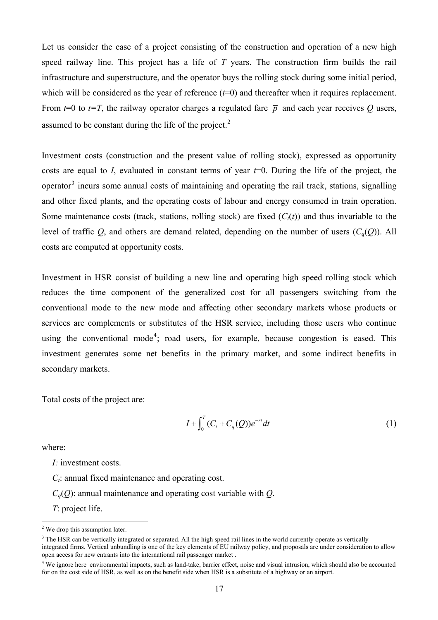Let us consider the case of a project consisting of the construction and operation of a new high speed railway line. This project has a life of *T* years. The construction firm builds the rail infrastructure and superstructure, and the operator buys the rolling stock during some initial period, which will be considered as the year of reference ( $t=0$ ) and thereafter when it requires replacement. From  $t=0$  to  $t=T$ , the railway operator charges a regulated fare  $\bar{p}$  and each year receives Q users, assumed to be constant during the life of the project. $2$ 

Investment costs (construction and the present value of rolling stock), expressed as opportunity costs are equal to *I*, evaluated in constant terms of year *t*=0. During the life of the project, the operator<sup>3</sup> incurs some annual costs of maintaining and operating the rail track, stations, signalling and other fixed plants, and the operating costs of labour and energy consumed in train operation. Some maintenance costs (track, stations, rolling stock) are fixed  $(C_t(t))$  and thus invariable to the level of traffic *Q*, and others are demand related, depending on the number of users (*Cq*(*Q*)). All costs are computed at opportunity costs.

Investment in HSR consist of building a new line and operating high speed rolling stock which reduces the time component of the generalized cost for all passengers switching from the conventional mode to the new mode and affecting other secondary markets whose products or services are complements or substitutes of the HSR service, including those users who continue using the conventional mode<sup>4</sup>; road users, for example, because congestion is eased. This investment generates some net benefits in the primary market, and some indirect benefits in secondary markets.

Total costs of the project are:

$$
I + \int_0^T (C_t + C_q(Q))e^{-rt} dt \tag{1}
$$

where:

*I:* investment costs.

*Ct*: annual fixed maintenance and operating cost.

*Cq*(*Q*): annual maintenance and operating cost variable with *Q*.

*T*: project life.

<sup>&</sup>lt;sup>2</sup> We drop this assumption later.

<sup>&</sup>lt;sup>3</sup> The HSR can be vertically integrated or separated. All the high speed rail lines in the world currently operate as vertically integrated firms. Vertical unbundling is one of the key elements of EU railway policy, and proposals are under consideration to allow open access for new entrants into the international rail passenger market .

<sup>&</sup>lt;sup>4</sup> We ignore here environmental impacts, such as land-take, barrier effect, noise and visual intrusion, which should also be accounted for on the cost side of HSR, as well as on the benefit side when HSR is a substitute of a highway or an airport.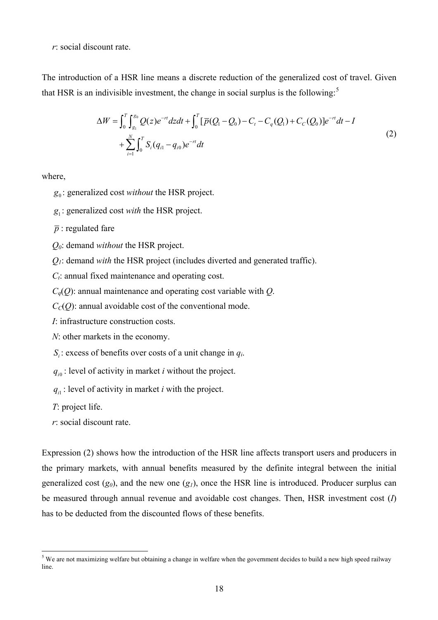*r*: social discount rate.

The introduction of a HSR line means a discrete reduction of the generalized cost of travel. Given that HSR is an indivisible investment, the change in social surplus is the following: $<sup>5</sup>$ </sup>

$$
\Delta W = \int_0^T \int_{g_1}^{g_0} Q(z) e^{-rt} dz dt + \int_0^T [\overline{p}(Q_1 - Q_0) - C_t - C_q(Q_1) + C_C(Q_0)] e^{-rt} dt - I
$$
  
+ 
$$
\sum_{i=1}^N \int_0^T S_i (q_{i1} - q_{i0}) e^{-rt} dt
$$
 (2)

where,

- 0 *g* : generalized cost *without* the HSR project.
- 1 *g* : generalized cost *with* the HSR project.
- $\overline{p}$  : regulated fare
- *Q0*: demand *without* the HSR project.
- *Q1*: demand *with* the HSR project (includes diverted and generated traffic).
- *Ct*: annual fixed maintenance and operating cost.
- $C_q(Q)$ : annual maintenance and operating cost variable with *Q*.
- $C_{C}(Q)$ : annual avoidable cost of the conventional mode.
- *I*: infrastructure construction costs.
- *N*: other markets in the economy.
- $S_i$ : excess of benefits over costs of a unit change in  $q_i$ .

 $q_{i0}$ : level of activity in market *i* without the project.

 $q_{i1}$ : level of activity in market *i* with the project.

*T*: project life.

*r*: social discount rate.

Expression (2) shows how the introduction of the HSR line affects transport users and producers in the primary markets, with annual benefits measured by the definite integral between the initial generalized cost  $(g_0)$ , and the new one  $(g_1)$ , once the HSR line is introduced. Producer surplus can be measured through annual revenue and avoidable cost changes. Then, HSR investment cost (*I*) has to be deducted from the discounted flows of these benefits.

<sup>&</sup>lt;sup>5</sup> We are not maximizing welfare but obtaining a change in welfare when the government decides to build a new high speed railway line.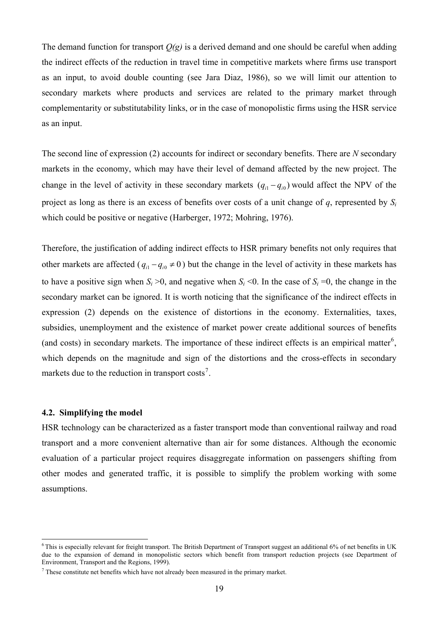The demand function for transport *Q(g)* is a derived demand and one should be careful when adding the indirect effects of the reduction in travel time in competitive markets where firms use transport as an input, to avoid double counting (see Jara Diaz, 1986), so we will limit our attention to secondary markets where products and services are related to the primary market through complementarity or substitutability links, or in the case of monopolistic firms using the HSR service as an input.

The second line of expression (2) accounts for indirect or secondary benefits. There are *N* secondary markets in the economy, which may have their level of demand affected by the new project. The change in the level of activity in these secondary markets  $(q_{i1} - q_{i0})$  would affect the NPV of the project as long as there is an excess of benefits over costs of a unit change of *q*, represented by *S<sup>i</sup>* which could be positive or negative (Harberger, 1972; Mohring, 1976).

Therefore, the justification of adding indirect effects to HSR primary benefits not only requires that other markets are affected  $(q_{i1} - q_{i0} \neq 0)$  but the change in the level of activity in these markets has to have a positive sign when  $S_i > 0$ , and negative when  $S_i < 0$ . In the case of  $S_i = 0$ , the change in the secondary market can be ignored. It is worth noticing that the significance of the indirect effects in expression (2) depends on the existence of distortions in the economy. Externalities, taxes, subsidies, unemployment and the existence of market power create additional sources of benefits (and costs) in secondary markets. The importance of these indirect effects is an empirical matter<sup>6</sup>, which depends on the magnitude and sign of the distortions and the cross-effects in secondary markets due to the reduction in transport  $costs^7$ .

#### **4.2. Simplifying the model**

 $\overline{a}$ 

HSR technology can be characterized as a faster transport mode than conventional railway and road transport and a more convenient alternative than air for some distances. Although the economic evaluation of a particular project requires disaggregate information on passengers shifting from other modes and generated traffic, it is possible to simplify the problem working with some assumptions.

<sup>&</sup>lt;sup>6</sup>This is especially relevant for freight transport. The British Department of Transport suggest an additional 6% of net benefits in UK due to the expansion of demand in monopolistic sectors which benefit from transport reduction projects (see Department of Environment, Transport and the Regions, 1999).

 $<sup>7</sup>$  These constitute net benefits which have not already been measured in the primary market.</sup>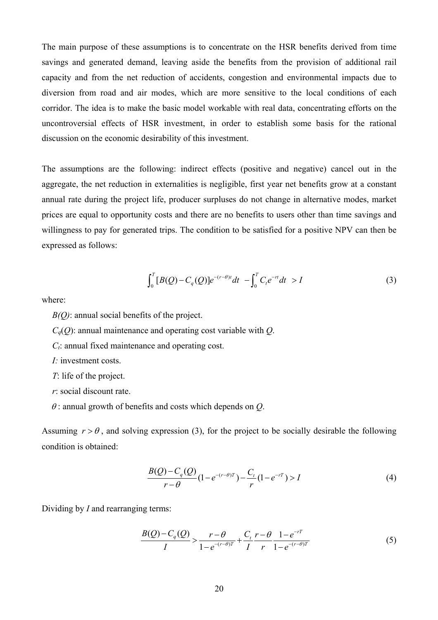The main purpose of these assumptions is to concentrate on the HSR benefits derived from time savings and generated demand, leaving aside the benefits from the provision of additional rail capacity and from the net reduction of accidents, congestion and environmental impacts due to diversion from road and air modes, which are more sensitive to the local conditions of each corridor. The idea is to make the basic model workable with real data, concentrating efforts on the uncontroversial effects of HSR investment, in order to establish some basis for the rational discussion on the economic desirability of this investment.

The assumptions are the following: indirect effects (positive and negative) cancel out in the aggregate, the net reduction in externalities is negligible, first year net benefits grow at a constant annual rate during the project life, producer surpluses do not change in alternative modes, market prices are equal to opportunity costs and there are no benefits to users other than time savings and willingness to pay for generated trips. The condition to be satisfied for a positive NPV can then be expressed as follows:

$$
\int_0^T [B(Q) - C_q(Q)] e^{-(r-\theta)t} dt - \int_0^T C_t e^{-rt} dt > I
$$
 (3)

where:

*B(Q)*: annual social benefits of the project.

 $C_q(Q)$ : annual maintenance and operating cost variable with *Q*.

*Ct*: annual fixed maintenance and operating cost.

*I:* investment costs.

*T*: life of the project.

*r*: social discount rate.

<sup>θ</sup> : annual growth of benefits and costs which depends on *Q*.

Assuming  $r > \theta$ , and solving expression (3), for the project to be socially desirable the following condition is obtained:

$$
\frac{B(Q) - C_q(Q)}{r - \theta} \left(1 - e^{-(r - \theta)T}\right) - \frac{C_t}{r} \left(1 - e^{-rT}\right) > I \tag{4}
$$

Dividing by *I* and rearranging terms:

$$
\frac{B(Q) - C_q(Q)}{I} > \frac{r - \theta}{1 - e^{-(r - \theta)T}} + \frac{C_t}{I} \frac{r - \theta}{r} \frac{1 - e^{-rT}}{1 - e^{-(r - \theta)T}} \tag{5}
$$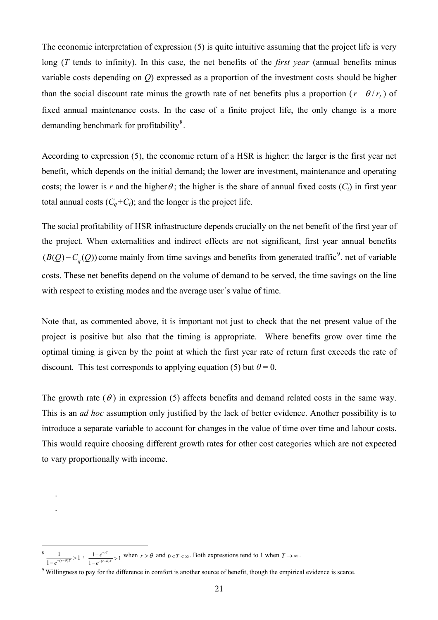The economic interpretation of expression (5) is quite intuitive assuming that the project life is very long (*T* tends to infinity). In this case, the net benefits of the *first year* (annual benefits minus variable costs depending on *Q*) expressed as a proportion of the investment costs should be higher than the social discount rate minus the growth rate of net benefits plus a proportion  $(r - \theta / r_I)$  of fixed annual maintenance costs. In the case of a finite project life, the only change is a more demanding benchmark for profitability<sup>8</sup>.

According to expression (5), the economic return of a HSR is higher: the larger is the first year net benefit, which depends on the initial demand; the lower are investment, maintenance and operating costs; the lower is *r* and the higher  $\theta$ ; the higher is the share of annual fixed costs  $(C_t)$  in first year total annual costs  $(C_a + C_t)$ ; and the longer is the project life.

The social profitability of HSR infrastructure depends crucially on the net benefit of the first year of the project. When externalities and indirect effects are not significant, first year annual benefits  $(B(Q) - C_q(Q))$  come mainly from time savings and benefits from generated traffic<sup>9</sup>, net of variable costs. These net benefits depend on the volume of demand to be served, the time savings on the line with respect to existing modes and the average user's value of time.

Note that, as commented above, it is important not just to check that the net present value of the project is positive but also that the timing is appropriate. Where benefits grow over time the optimal timing is given by the point at which the first year rate of return first exceeds the rate of discount. This test corresponds to applying equation (5) but  $\theta = 0$ .

The growth rate  $(\theta)$  in expression (5) affects benefits and demand related costs in the same way. This is an *ad hoc* assumption only justified by the lack of better evidence. Another possibility is to introduce a separate variable to account for changes in the value of time over time and labour costs. This would require choosing different growth rates for other cost categories which are not expected to vary proportionally with income.

. .

 $\overline{a}$ 

<sup>8</sup>  $\frac{1}{1-e^{-(r-\theta)T}} > 1$ ,  $\frac{1-e^{-rT}}{1-e^{-(r-\theta)T}} > 1$ *rT*  $\frac{e^{-rT}}{(r-\theta)T}$  $e^{-(r-\theta)}$ −  $\frac{1-e^{-rT}}{-e^{-(r-\theta)T}}$ when  $r > \theta$  and  $0 < T < \infty$ . Both expressions tend to 1 when  $T \rightarrow \infty$ .

<sup>&</sup>lt;sup>9</sup> Willingness to pay for the difference in comfort is another source of benefit, though the empirical evidence is scarce.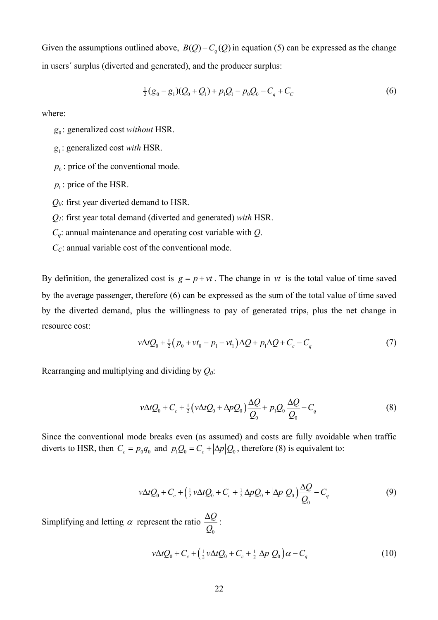Given the assumptions outlined above,  $B(Q) - C_q(Q)$  in equation (5) can be expressed as the change in users´ surplus (diverted and generated), and the producer surplus:

$$
\frac{1}{2}(g_0 - g_1)(Q_0 + Q_1) + p_1Q_1 - p_0Q_0 - C_q + C_c \tag{6}
$$

where:

- 0 *g* : generalized cost *without* HSR.
- 1 *g* : generalized cost *with* HSR.
- $p_0$ : price of the conventional mode.
- $p_1$ : price of the HSR.
- *Q0*: first year diverted demand to HSR.

*Q1*: first year total demand (diverted and generated) *with* HSR.

*Cq*: annual maintenance and operating cost variable with *Q*.

*C*<sub>*C*</sub>: annual variable cost of the conventional mode.

By definition, the generalized cost is  $g = p + vt$ . The change in vt is the total value of time saved by the average passenger, therefore (6) can be expressed as the sum of the total value of time saved by the diverted demand, plus the willingness to pay of generated trips, plus the net change in resource cost:

$$
v\Delta t Q_0 + \frac{1}{2}(p_0 + vt_0 - p_1 - vt_1)\Delta Q + p_1\Delta Q + C_c - C_q
$$
\n(7)

Rearranging and multiplying and dividing by *Q0*:

$$
v\Delta t Q_0 + C_c + \frac{1}{2} \left( v \Delta t Q_0 + \Delta p Q_0 \right) \frac{\Delta Q}{Q_0} + p_1 Q_0 \frac{\Delta Q}{Q_0} - C_q \tag{8}
$$

Since the conventional mode breaks even (as assumed) and costs are fully avoidable when traffic diverts to HSR, then  $C_c = p_0 q_0$  and  $p_1 Q_0 = C_c + |\Delta p| Q_0$ , therefore (8) is equivalent to:

$$
v\Delta t Q_0 + C_c + \left(\frac{1}{2}v\Delta t Q_0 + C_c + \frac{1}{2}\Delta p Q_0 + |\Delta p|Q_0\right)\frac{\Delta Q}{Q_0} - C_q
$$
\n<sup>(9)</sup>

Simplifying and letting  $\alpha$  represent the ratio 0 *Q Q* Δ :

$$
\nu \Delta t Q_0 + C_c + \left(\frac{1}{2} \nu \Delta t Q_0 + C_c + \frac{1}{2} |\Delta p| Q_0\right) \alpha - C_q \tag{10}
$$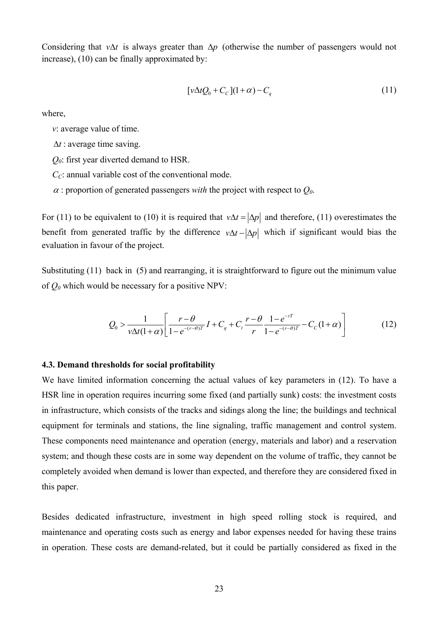Considering that  $v \Delta t$  is always greater than  $\Delta p$  (otherwise the number of passengers would not increase), (10) can be finally approximated by:

$$
[\nu \Delta t Q_0 + C_C](1+\alpha) - C_q \tag{11}
$$

where,

*v*: average value of time.

- Δ*t* : average time saving.
- *Q0*: first year diverted demand to HSR.
- *C*<sub>*C*</sub>: annual variable cost of the conventional mode.
- $\alpha$ : proportion of generated passengers *with* the project with respect to  $Q_0$ .

For (11) to be equivalent to (10) it is required that  $v\Delta t = |\Delta p|$  and therefore, (11) overestimates the benefit from generated traffic by the difference  $v\Delta t - |\Delta p|$  which if significant would bias the evaluation in favour of the project.

Substituting (11) back in (5) and rearranging, it is straightforward to figure out the minimum value of  $Q_0$  which would be necessary for a positive NPV:

$$
Q_0 > \frac{1}{\nu \Delta t (1+\alpha)} \left[ \frac{r-\theta}{1-e^{-(r-\theta)T}} I + C_q + C_t \frac{r-\theta}{r} \frac{1-e^{-rT}}{1-e^{-(r-\theta)T}} - C_C (1+\alpha) \right]
$$
(12)

#### **4.3. Demand thresholds for social profitability**

We have limited information concerning the actual values of key parameters in (12). To have a HSR line in operation requires incurring some fixed (and partially sunk) costs: the investment costs in infrastructure, which consists of the tracks and sidings along the line; the buildings and technical equipment for terminals and stations, the line signaling, traffic management and control system. These components need maintenance and operation (energy, materials and labor) and a reservation system; and though these costs are in some way dependent on the volume of traffic, they cannot be completely avoided when demand is lower than expected, and therefore they are considered fixed in this paper.

Besides dedicated infrastructure, investment in high speed rolling stock is required, and maintenance and operating costs such as energy and labor expenses needed for having these trains in operation. These costs are demand-related, but it could be partially considered as fixed in the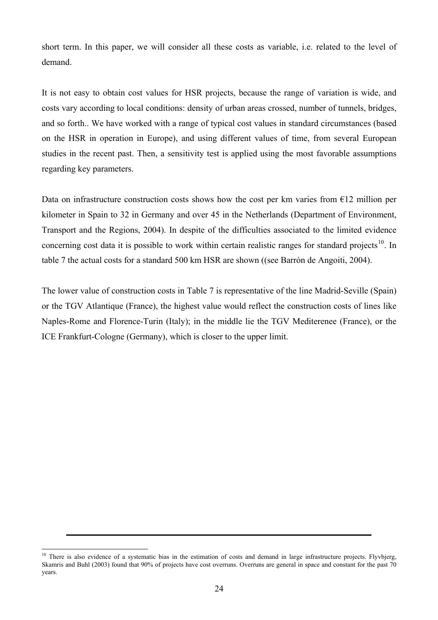short term. In this paper, we will consider all these costs as variable, i.e. related to the level of demand.

It is not easy to obtain cost values for HSR projects, because the range of variation is wide, and costs vary according to local conditions: density of urban areas crossed, number of tunnels, bridges, and so forth.. We have worked with a range of typical cost values in standard circumstances (based on the HSR in operation in Europe), and using different values of time, from several European studies in the recent past. Then, a sensitivity test is applied using the most favorable assumptions regarding key parameters.

Data on infrastructure construction costs shows how the cost per km varies from  $\epsilon$ 12 million per kilometer in Spain to 32 in Germany and over 45 in the Netherlands (Department of Environment, Transport and the Regions, 2004). In despite of the difficulties associated to the limited evidence concerning cost data it is possible to work within certain realistic ranges for standard projects<sup>10</sup>. In table 7 the actual costs for a standard 500 km HSR are shown ((see Barrón de Angoiti, 2004).

The lower value of construction costs in Table 7 is representative of the line Madrid-Seville (Spain) or the TGV Atlantique (France), the highest value would reflect the construction costs of lines like Naples-Rome and Florence-Turin (Italy); in the middle lie the TGV Mediterenee (France), or the ICE Frankfurt-Cologne (Germany), which is closer to the upper limit.

 $\overline{a}$ <sup>10</sup> There is also evidence of a systematic bias in the estimation of costs and demand in large infrastructure projects. Flyvbjerg, Skamris and Buhl (2003) found that 90% of projects have cost overruns. Overruns are general in space and constant for the past 70 years.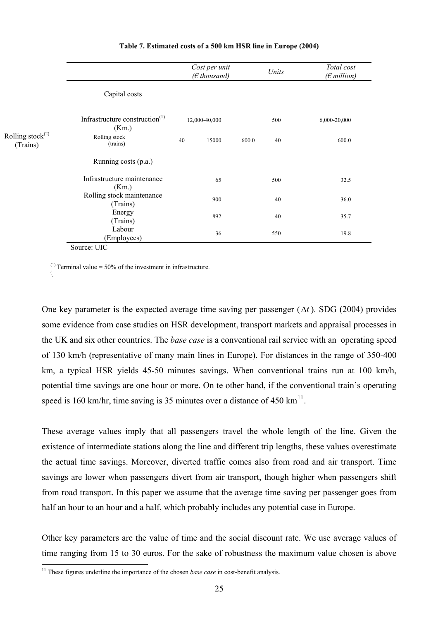|                                    |                                            |    | Cost per unit<br>$(E$ thousand) |       | Units | Total cost<br>$(E$ million) |
|------------------------------------|--------------------------------------------|----|---------------------------------|-------|-------|-----------------------------|
|                                    | Capital costs                              |    |                                 |       |       |                             |
|                                    | Infrastructure construction $(1)$<br>(Km.) |    | 12,000-40,000                   |       | 500   | 6,000-20,000                |
| Rolling stock $^{(2)}$<br>(Trains) | Rolling stock<br>(trains)                  | 40 | 15000                           | 600.0 | 40    | 600.0                       |
|                                    | Running costs (p.a.)                       |    |                                 |       |       |                             |
|                                    | Infrastructure maintenance<br>(Km.)        |    | 65                              |       | 500   | 32.5                        |
|                                    | Rolling stock maintenance<br>(Trains)      |    | 900                             |       | 40    | 36.0                        |
|                                    | Energy<br>(Trains)                         |    | 892                             |       | 40    | 35.7                        |
|                                    | Labour<br>(Employees)                      |    | 36                              |       | 550   | 19.8                        |

#### **Table 7. Estimated costs of a 500 km HSR line in Europe (2004)**

Source: UIC

.

<sup>(1)</sup> Terminal value = 50% of the investment in infrastructure.

One key parameter is the expected average time saving per passenger (Δ*t* ). SDG (2004) provides some evidence from case studies on HSR development, transport markets and appraisal processes in the UK and six other countries. The *base case* is a conventional rail service with an operating speed of 130 km/h (representative of many main lines in Europe). For distances in the range of 350-400 km, a typical HSR yields 45-50 minutes savings. When conventional trains run at 100 km/h, potential time savings are one hour or more. On te other hand, if the conventional train's operating speed is 160 km/hr, time saving is 35 minutes over a distance of 450 km<sup>11</sup>.

These average values imply that all passengers travel the whole length of the line. Given the existence of intermediate stations along the line and different trip lengths, these values overestimate the actual time savings. Moreover, diverted traffic comes also from road and air transport. Time savings are lower when passengers divert from air transport, though higher when passengers shift from road transport. In this paper we assume that the average time saving per passenger goes from half an hour to an hour and a half, which probably includes any potential case in Europe.

Other key parameters are the value of time and the social discount rate. We use average values of time ranging from 15 to 30 euros. For the sake of robustness the maximum value chosen is above

 $\overline{a}$ <sup>11</sup> These figures underline the importance of the chosen *base case* in cost-benefit analysis.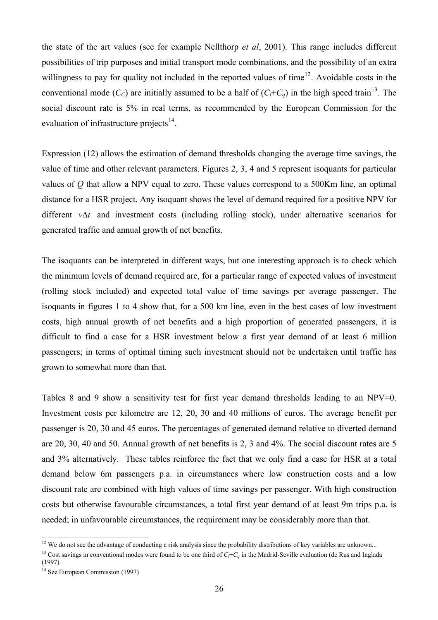the state of the art values (see for example Nellthorp *et al*, 2001). This range includes different possibilities of trip purposes and initial transport mode combinations, and the possibility of an extra willingness to pay for quality not included in the reported values of time<sup>12</sup>. Avoidable costs in the conventional mode  $(C_C)$  are initially assumed to be a half of  $(C_t+C_a)$  in the high speed train<sup>13</sup>. The social discount rate is 5% in real terms, as recommended by the European Commission for the evaluation of infrastructure projects $^{14}$ .

Expression (12) allows the estimation of demand thresholds changing the average time savings, the value of time and other relevant parameters. Figures 2, 3, 4 and 5 represent isoquants for particular values of *Q* that allow a NPV equal to zero. These values correspond to a 500Km line, an optimal distance for a HSR project. Any isoquant shows the level of demand required for a positive NPV for different  $v\Delta t$  and investment costs (including rolling stock), under alternative scenarios for generated traffic and annual growth of net benefits.

The isoquants can be interpreted in different ways, but one interesting approach is to check which the minimum levels of demand required are, for a particular range of expected values of investment (rolling stock included) and expected total value of time savings per average passenger. The isoquants in figures 1 to 4 show that, for a 500 km line, even in the best cases of low investment costs, high annual growth of net benefits and a high proportion of generated passengers, it is difficult to find a case for a HSR investment below a first year demand of at least 6 million passengers; in terms of optimal timing such investment should not be undertaken until traffic has grown to somewhat more than that.

Tables 8 and 9 show a sensitivity test for first year demand thresholds leading to an NPV=0. Investment costs per kilometre are 12, 20, 30 and 40 millions of euros. The average benefit per passenger is 20, 30 and 45 euros. The percentages of generated demand relative to diverted demand are 20, 30, 40 and 50. Annual growth of net benefits is 2, 3 and 4%. The social discount rates are 5 and 3% alternatively. These tables reinforce the fact that we only find a case for HSR at a total demand below 6m passengers p.a. in circumstances where low construction costs and a low discount rate are combined with high values of time savings per passenger. With high construction costs but otherwise favourable circumstances, a total first year demand of at least 9m trips p.a. is needed; in unfavourable circumstances, the requirement may be considerably more than that.

 $\overline{a}$ 

 $12$  We do not see the advantage of conducting a risk analysis since the probability distributions of key variables are unknown...

<sup>&</sup>lt;sup>13</sup> Cost savings in conventional modes were found to be one third of  $C_t + C_a$  in the Madrid-Seville evaluation (de Rus and Inglada (1997).

<sup>&</sup>lt;sup>14</sup> See European Commission (1997)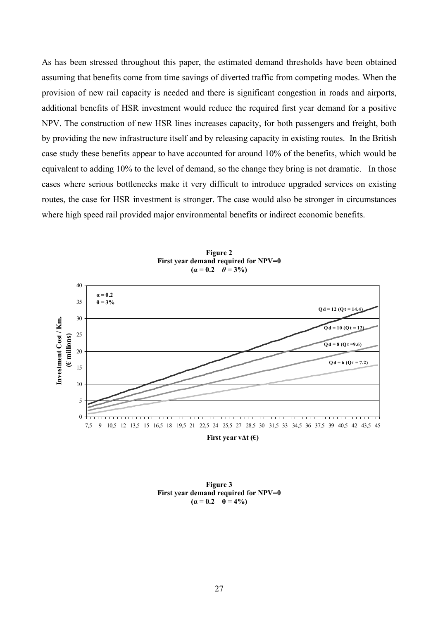As has been stressed throughout this paper, the estimated demand thresholds have been obtained assuming that benefits come from time savings of diverted traffic from competing modes. When the provision of new rail capacity is needed and there is significant congestion in roads and airports, additional benefits of HSR investment would reduce the required first year demand for a positive NPV. The construction of new HSR lines increases capacity, for both passengers and freight, both by providing the new infrastructure itself and by releasing capacity in existing routes. In the British case study these benefits appear to have accounted for around 10% of the benefits, which would be equivalent to adding 10% to the level of demand, so the change they bring is not dramatic. In those cases where serious bottlenecks make it very difficult to introduce upgraded services on existing routes, the case for HSR investment is stronger. The case would also be stronger in circumstances where high speed rail provided major environmental benefits or indirect economic benefits.



**Figure 2 First year demand required for NPV=0**   $(a = 0.2 \quad \theta = 3\%)$ 

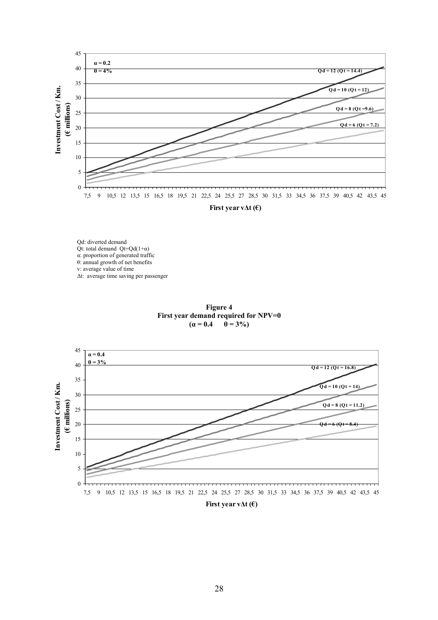

Qd: diverted demand Qt: total demand  $Qt = Qd(1+\alpha)$ α: proportion of generated traffic θ: annual growth of net benefits v: average value of time Δt: average time saving per passenger



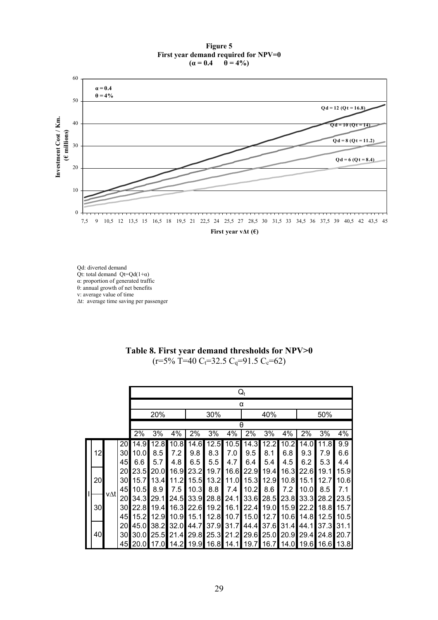#### **Figure 5 First year demand required for NPV=0**<br> $(\alpha = 0.4 \quad \theta = 4\%)$  $\hat{\theta} = 4\%$



Qd: diverted demand Qt: total demand  $Qt = Qd(1+\alpha)$ α: proportion of generated traffic θ: annual growth of net benefits v: average value of time Δt: average time saving per passenger

#### **Table 8. First year demand thresholds for NPV>0**   $(r=5\% \text{ T}=40 \text{ C}_t=32.5 \text{ C}_q=91.5 \text{ C}_c=62)$

|    | $Q_t$ |          |              |                        |             |                               |                                                 |             |             |             |                     |             |                |            |
|----|-------|----------|--------------|------------------------|-------------|-------------------------------|-------------------------------------------------|-------------|-------------|-------------|---------------------|-------------|----------------|------------|
|    |       |          |              | α                      |             |                               |                                                 |             |             |             |                     |             |                |            |
|    |       |          |              | 20%                    |             |                               | 30%                                             |             |             | 40%         |                     |             | 50%            |            |
|    |       |          |              |                        |             |                               |                                                 |             | θ           |             |                     |             |                |            |
|    |       |          | 2%           | 3%                     | 4%          | 2%                            | 3%                                              | 4%          | 2%          | 3%          | 4%                  | 2%          | 3%             | 4%         |
| 12 |       | 20<br>30 | 14.9<br>10.0 | 12.8<br>8.5            | 10.8<br>7.2 | 14.6<br>9.8                   | 12.5<br>8.3                                     | 10.5<br>7.0 | 14.3<br>9.5 | 12.2<br>8.1 | 10.2<br>6.8         | 14.0<br>9.3 | 11.8<br>7.9    | 9.9<br>6.6 |
|    |       | 45       | 6.6          | 5.7                    | 4.8         | 6.5                           | 5.5                                             | 4.7         | 6.4         | 5.4         | 4.5                 | 6.2         | 5.3            | 4.4        |
|    |       | 20       | 23.5         | 20.0                   | 16.9        | 23.2                          | 19.7                                            | 16.6        | 22.9        | 19.4        | 16.3                | 22.6        | 19.1           | 15.9       |
| 20 |       | 30       | 15.7         | 13.4                   | 11.2        |                               | 15.5 13.2                                       | 11.0        |             | 15.3 12.9   | 10.8                | 15.1        | 12.7           | 10.6       |
|    | v∆t∣  | 45       | 10.5         | 8.9                    | 7.5         |                               | $10.3$ 8.8                                      | 7.4         | 10.2        | 8.6         | 7.2                 | 10.0        | 8.5            | 7.1        |
|    |       | 20       | 34.3         | 29.1                   | 24.5        |                               | 33.9 28.8                                       | 24.1        |             | 33.6 28.5   | 23.8                | 33.3 28.2   |                | 23.5       |
| 30 |       | 30       | 22.8         | 19.4                   | 16.3        |                               | 22.6 19.2 16.1                                  |             |             |             | 22.4 19.0 15.9      |             | 22.2 18.8 15.7 |            |
|    |       | 45       |              |                        |             | 15.2 12.9 10.9 15.1 12.8 10.7 |                                                 |             |             | 15.0 12.7   | 10.6 14.8 12.5 10.5 |             |                |            |
| 40 |       | 20<br>30 | 30.0         | 45.0 38.2<br>25.5 21.4 | 32.0        |                               | 44.7 37.9 31.7 44.4 37.6 31.4<br>29.8 25.3 21.2 |             | 29.6 25.0   |             | 20.9                | 44.1        | 29.4 24.8 20.7 | 37.3 31.1  |
|    |       | 45       | 20.0         |                        |             | 17.0 14.2 19.9 16.8 14.1      |                                                 |             |             | 19.7 16.7   |                     |             | 14.0 19.6 16.6 | 13.8       |
|    |       |          |              |                        |             |                               |                                                 |             |             |             |                     |             |                |            |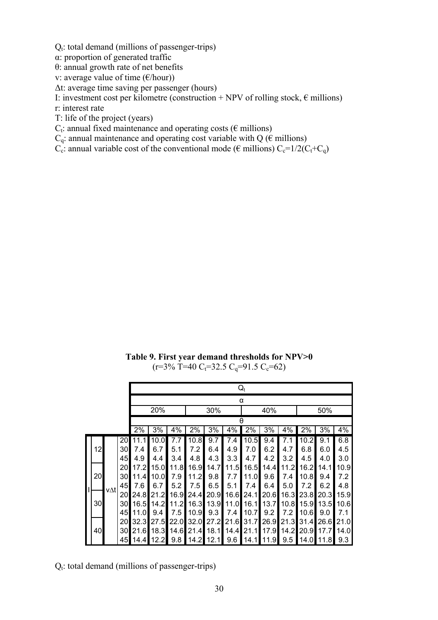$Q_t$ : total demand (millions of passenger-trips)

α: proportion of generated traffic

θ: annual growth rate of net benefits

v: average value of time  $(\epsilon/\text{hour})$ 

Δt: average time saving per passenger (hours)

I: investment cost per kilometre (construction + NPV of rolling stock,  $\epsilon$  millions)

r: interest rate

T: life of the project (years)

 $C_t$ : annual fixed maintenance and operating costs ( $\epsilon$  millions)

 $C_q$ : annual maintenance and operating cost variable with Q ( $\epsilon$  millions)

 $C_c$ : annual variable cost of the conventional mode ( $\epsilon$  millions)  $C_c=1/2(C_t+C_a)$ 

**Table 9. First year demand thresholds for NPV>0**   $(r=3\% \text{ T}=40 \text{ C}_t=32.5 \text{ C}_q=91.5 \text{ C}_c=62)$ 

|    |     |                 |                   | $Q_t$ |       |           |           |      |      |      |           |       |             |       |
|----|-----|-----------------|-------------------|-------|-------|-----------|-----------|------|------|------|-----------|-------|-------------|-------|
|    |     |                 |                   | α     |       |           |           |      |      |      |           |       |             |       |
|    |     |                 | 20%<br>30%<br>40% |       |       |           |           |      |      |      |           | 50%   |             |       |
|    |     |                 |                   |       |       |           |           |      | θ    |      |           |       |             |       |
|    |     |                 | 2%                | 3%    | 4%    | 2%        | 3%        | 4%   | 2%   | 3%   | 4%        | 2%    | 3%          | 4%    |
|    |     | 20              | 11.1              | 10.0  | 7.7   | 10.8I     | 9.7       | 7.4  | 10.5 | 9.4  | 7.1       | 10.2I | 9.1         | 6.8   |
| 12 |     | 30              | 7.4               | 6.7   | 5.1   | 7.2       | 6.4       | 4.9  | 7.0  | 6.2  | 4.7       | 6.8   | 6.0         | 4.5   |
|    |     | 45              | 4.9               | 4.4   | 3.4   | 4.8       | 4.3       | 3.3  | 4.7  | 4.2  | 3.2       | 4.5   | 4.0         | 3.0   |
|    |     | <b>20</b>       | 17.2              | 15.0  | 11.8l | 16.9      | 14.7      | 11.5 | 16.5 | 14.4 | 11.2      | 16.2  | 14.1        | 10.9  |
| 20 |     | 30 <sup>l</sup> | 11.4              | 10.0  | 7.9   | 11.2      | 9.8       | 7.7  | 11.0 | 9.6  | 7.4       | 10.8  | 9.4         | 7.2   |
|    |     | 45I             | 7.6               | 6.7   | 5.2   | 7.5       | 6.5       | 5.1  | 7.4  | 6.4  | 5.0       | 7.2   | 6.2         | 4.8   |
|    | v∆t | <b>20</b>       | 24.8              | 21.2  | 16.9  | 24.4      | 20.9      | 16.6 | 24.1 | 20.6 | 16.3      | 23.8  | 20.3        | 15.9  |
| 30 |     | 30I             | 16.5              | 14.2  | 11.2  |           | 16.3 13.9 | 11.0 | 16.1 | 13.7 | 10.8      | 15.9  | 13.5        | 10.61 |
|    |     | 45I             | 11.0              | 9.4   | 7.5   | 10.9      | 9.3       | 7.4  | 10.7 | 9.2  | 7.2       | 10.6  | 9.0         | 7.1   |
|    |     | 20              | 32.3              | 27.5  | 22.0  | 32.0      | 27.2      | 21.6 | 31.7 |      | 26.9 21.3 |       | 31.4 26.6   | 21.0  |
| 40 |     |                 | 30 21.6           | 18.3  | 14.6  | 21.4 18.1 |           | 14.4 | 21.1 | 17.9 | 14.2      |       | 20.9 17.7   | 14.0  |
|    |     | 45              | 14.4              | 12.2  | 9.8   |           | 14.2 12.1 | 9.6  | 14.1 | 11.9 | 9.5       |       | $14.0$ 11.8 | 9.3   |

 $Q_t$ : total demand (millions of passenger-trips)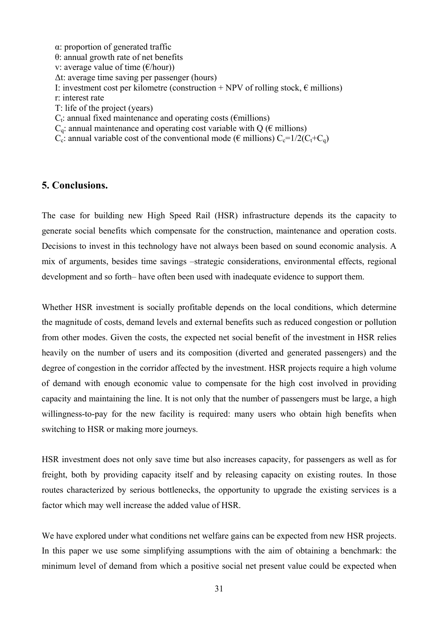α: proportion of generated traffic θ: annual growth rate of net benefits v: average value of time  $(\epsilon/\text{hour})$ Δt: average time saving per passenger (hours) I: investment cost per kilometre (construction + NPV of rolling stock,  $\epsilon$  millions) r: interest rate T: life of the project (years)  $C_t$ : annual fixed maintenance and operating costs ( $\epsilon$ millions)  $C_q$ : annual maintenance and operating cost variable with Q ( $\epsilon$  millions)  $C_c$ : annual variable cost of the conventional mode ( $\epsilon$  millions)  $C_c=1/2(C_t+C_a)$ 

# **5. Conclusions.**

The case for building new High Speed Rail (HSR) infrastructure depends its the capacity to generate social benefits which compensate for the construction, maintenance and operation costs. Decisions to invest in this technology have not always been based on sound economic analysis. A mix of arguments, besides time savings –strategic considerations, environmental effects, regional development and so forth– have often been used with inadequate evidence to support them.

Whether HSR investment is socially profitable depends on the local conditions, which determine the magnitude of costs, demand levels and external benefits such as reduced congestion or pollution from other modes. Given the costs, the expected net social benefit of the investment in HSR relies heavily on the number of users and its composition (diverted and generated passengers) and the degree of congestion in the corridor affected by the investment. HSR projects require a high volume of demand with enough economic value to compensate for the high cost involved in providing capacity and maintaining the line. It is not only that the number of passengers must be large, a high willingness-to-pay for the new facility is required: many users who obtain high benefits when switching to HSR or making more journeys.

HSR investment does not only save time but also increases capacity, for passengers as well as for freight, both by providing capacity itself and by releasing capacity on existing routes. In those routes characterized by serious bottlenecks, the opportunity to upgrade the existing services is a factor which may well increase the added value of HSR.

We have explored under what conditions net welfare gains can be expected from new HSR projects. In this paper we use some simplifying assumptions with the aim of obtaining a benchmark: the minimum level of demand from which a positive social net present value could be expected when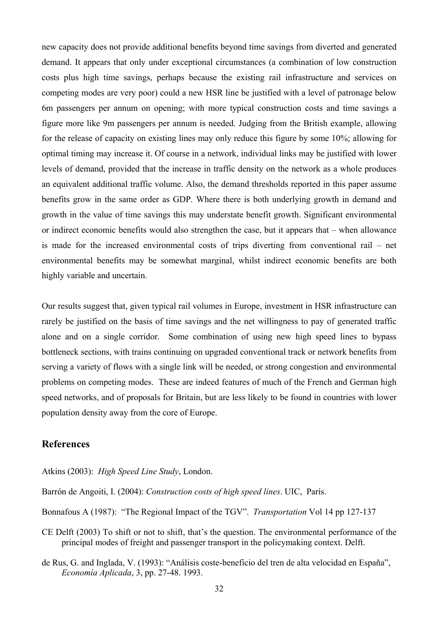new capacity does not provide additional benefits beyond time savings from diverted and generated demand. It appears that only under exceptional circumstances (a combination of low construction costs plus high time savings, perhaps because the existing rail infrastructure and services on competing modes are very poor) could a new HSR line be justified with a level of patronage below 6m passengers per annum on opening; with more typical construction costs and time savings a figure more like 9m passengers per annum is needed. Judging from the British example, allowing for the release of capacity on existing lines may only reduce this figure by some 10%; allowing for optimal timing may increase it. Of course in a network, individual links may be justified with lower levels of demand, provided that the increase in traffic density on the network as a whole produces an equivalent additional traffic volume. Also, the demand thresholds reported in this paper assume benefits grow in the same order as GDP. Where there is both underlying growth in demand and growth in the value of time savings this may understate benefit growth. Significant environmental or indirect economic benefits would also strengthen the case, but it appears that – when allowance is made for the increased environmental costs of trips diverting from conventional rail – net environmental benefits may be somewhat marginal, whilst indirect economic benefits are both highly variable and uncertain.

Our results suggest that, given typical rail volumes in Europe, investment in HSR infrastructure can rarely be justified on the basis of time savings and the net willingness to pay of generated traffic alone and on a single corridor. Some combination of using new high speed lines to bypass bottleneck sections, with trains continuing on upgraded conventional track or network benefits from serving a variety of flows with a single link will be needed, or strong congestion and environmental problems on competing modes. These are indeed features of much of the French and German high speed networks, and of proposals for Britain, but are less likely to be found in countries with lower population density away from the core of Europe.

# **References**

Atkins (2003): *High Speed Line Study*, London.

- Barrón de Angoiti, I. (2004): *Construction costs of high speed lines*. UIC, París.
- Bonnafous A (1987): "The Regional Impact of the TGV". *Transportation* Vol 14 pp 127-137
- CE Delft (2003) To shift or not to shift, that's the question. The environmental performance of the principal modes of freight and passenger transport in the policymaking context. Delft.
- de Rus, G. and Inglada, V. (1993): "Análisis coste-beneficio del tren de alta velocidad en España", *Economía Aplicada*, 3, pp. 27-48. 1993.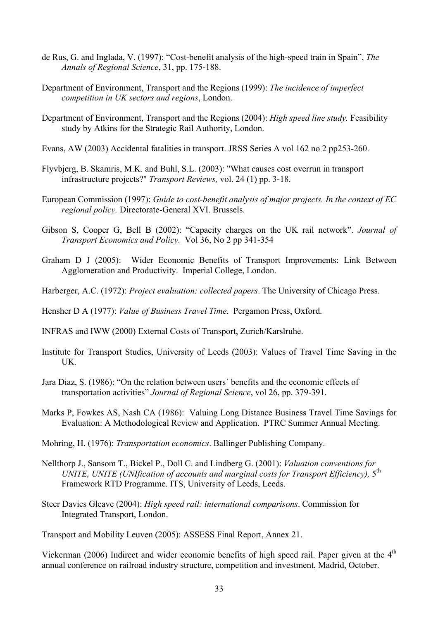- de Rus, G. and Inglada, V. (1997): "Cost-benefit analysis of the high-speed train in Spain", *The Annals of Regional Science*, 31, pp. 175-188.
- Department of Environment, Transport and the Regions (1999): *The incidence of imperfect competition in UK sectors and regions*, London.
- Department of Environment, Transport and the Regions (2004): *High speed line study.* Feasibility study by Atkins for the Strategic Rail Authority, London.
- Evans, AW (2003) Accidental fatalities in transport. JRSS Series A vol 162 no 2 pp253-260.
- Flyvbjerg, B. Skamris, M.K. and Buhl, S.L. (2003): "What causes cost overrun in transport infrastructure projects?" *Transport Reviews,* vol. 24 (1) pp. 3-18.
- European Commission (1997): *Guide to cost-benefit analysis of major projects. In the context of EC regional policy.* Directorate-General XVI. Brussels.
- Gibson S, Cooper G, Bell B (2002): "Capacity charges on the UK rail network". *Journal of Transport Economics and Policy.* Vol 36, No 2 pp 341-354
- Graham D J (2005): Wider Economic Benefits of Transport Improvements: Link Between Agglomeration and Productivity. Imperial College, London.
- Harberger, A.C. (1972): *Project evaluation: collected papers*. The University of Chicago Press.

Hensher D A (1977): *Value of Business Travel Time*. Pergamon Press, Oxford.

INFRAS and IWW (2000) External Costs of Transport, Zurich/Karslruhe.

- Institute for Transport Studies, University of Leeds (2003): Values of Travel Time Saving in the UK.
- Jara Diaz, S. (1986): "On the relation between users´ benefits and the economic effects of transportation activities" *Journal of Regional Science*, vol 26, pp. 379-391.
- Marks P, Fowkes AS, Nash CA (1986): Valuing Long Distance Business Travel Time Savings for Evaluation: A Methodological Review and Application. PTRC Summer Annual Meeting.
- Mohring, H. (1976): *Transportation economics*. Ballinger Publishing Company.
- Nellthorp J., Sansom T., Bickel P., Doll C. and Lindberg G. (2001): *Valuation conventions for UNITE, UNITE (UNIfication of accounts and marginal costs for Transport Efficiency),* 5th Framework RTD Programme. ITS, University of Leeds, Leeds.
- Steer Davies Gleave (2004): *High speed rail: international comparisons*. Commission for Integrated Transport, London.

Transport and Mobility Leuven (2005): ASSESS Final Report, Annex 21.

Vickerman (2006) Indirect and wider economic benefits of high speed rail. Paper given at the 4<sup>th</sup> annual conference on railroad industry structure, competition and investment, Madrid, October.